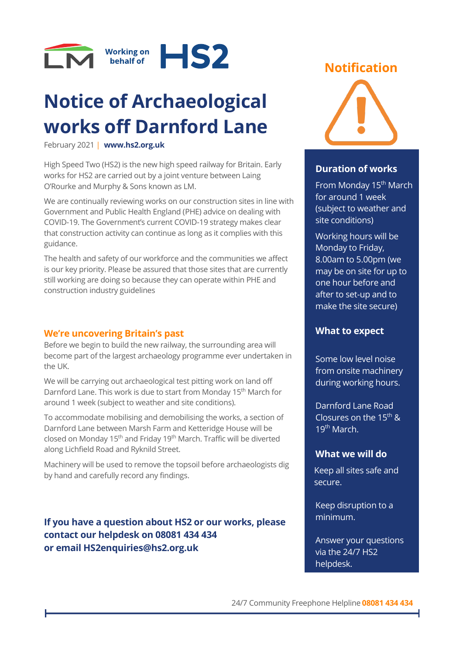

# **Notice of Archaeological works off Darnford Lane**

February 2021 | **[www.hs2.org.uk](http://www.hs2.org.uk/)**

High Speed Two (HS2) is the new high speed railway for Britain. Early works for HS2 are carried out by a joint venture between Laing O'Rourke and Murphy & Sons known as LM.

We are continually reviewing works on our construction sites in line with Government and Public Health England (PHE) advice on dealing with COVID-19. The Government's current COVID-19 strategy makes clear that construction activity can continue as long as it complies with this guidance.

The health and safety of our workforce and the communities we affect is our key priority. Please be assured that those sites that are currently still working are doing so because they can operate within PHE and construction industry guidelines

## **We're uncovering Britain's past**

Before we begin to build the new railway, the surrounding area will become part of the largest archaeology programme ever undertaken in the UK.

We will be carrying out archaeological test pitting work on land off Darnford Lane. This work is due to start from Monday 15<sup>th</sup> March for around 1 week (subject to weather and site conditions).

To accommodate mobilising and demobilising the works, a section of Darnford Lane between Marsh Farm and Ketteridge House will be closed on Monday 15th and Friday 19th March. Traffic will be diverted along Lichfield Road and Ryknild Street.

Machinery will be used to remove the topsoil before archaeologists dig by hand and carefully record any findings.

**If you have a question about HS2 or our works, please contact our helpdesk on 08081 434 434 or email HS2enquiries@hs2.org.uk**

## **Notification**



## **Duration of works**

From Monday 15<sup>th</sup> March for around 1 week (subject to weather and site conditions)

Working hours will be Monday to Friday, 8.00am to 5.00pm (we may be on site for up to one hour before and after to set-up and to make the site secure)

## **What to expect**

Some low level noise from onsite machinery during working hours.

Darnford Lane Road Closures on the 15th & 19th March.

## **What we will do**

Keep all sites safe and secure.

Keep disruption to a minimum.

Answer your questions via the 24/7 HS2 helpdesk.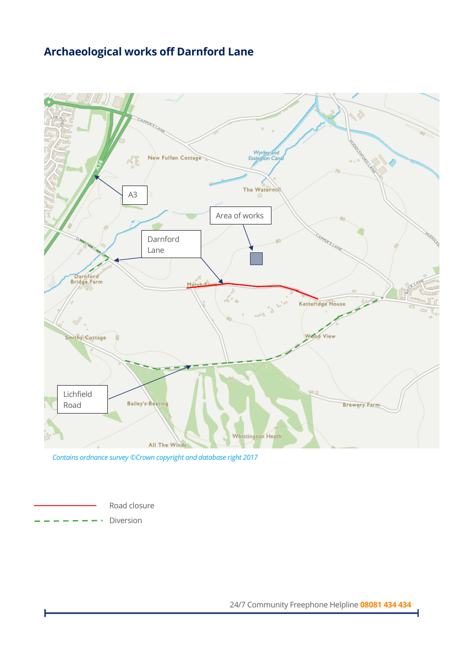## **Archaeological works off Darnford Lane**



 *Contains ordnance survey ©Crown copyright and database right 2017*

Road closure

Diversion

24/7 Community Freephone Helpline **08081 434 434**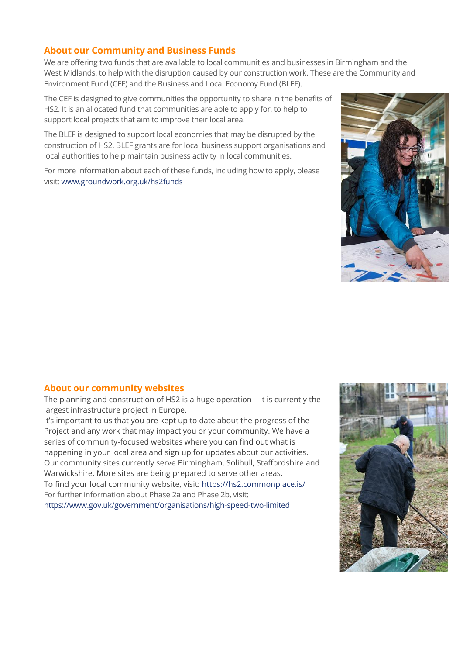### **About our Community and Business Funds**

We are offering two funds that are available to local communities and businesses in Birmingham and the West Midlands, to help with the disruption caused by our construction work. These are the Community and Environment Fund (CEF) and the Business and Local Economy Fund (BLEF).

The CEF is designed to give communities the opportunity to share in the benefits of HS2. It is an allocated fund that communities are able to apply for, to help to support local projects that aim to improve their local area.

The BLEF is designed to support local economies that may be disrupted by the construction of HS2. BLEF grants are for local business support organisations and local authorities to help maintain business activity in local communities.

For more information about each of these funds, including how to apply, please visit: [www.groundwork.org.uk/hs2funds](http://www.groundwork.org.uk/hs2funds) 



#### **About our community websites**

The planning and construction of HS2 is a huge operation – it is currently the largest infrastructure project in Europe.

It's important to us that you are kept up to date about the progress of the Project and any work that may impact you or your community. We have a series of community-focused websites where you can find out what is happening in your local area and sign up for updates about our activities. Our community sites currently serve Birmingham, Solihull, Staffordshire and Warwickshire. More sites are being prepared to serve other areas. To find your local community website, visit:<https://hs2.commonplace.is/> For further information about Phase 2a and Phase 2b, visit: <https://www.gov.uk/government/organisations/high-speed-two-limited>